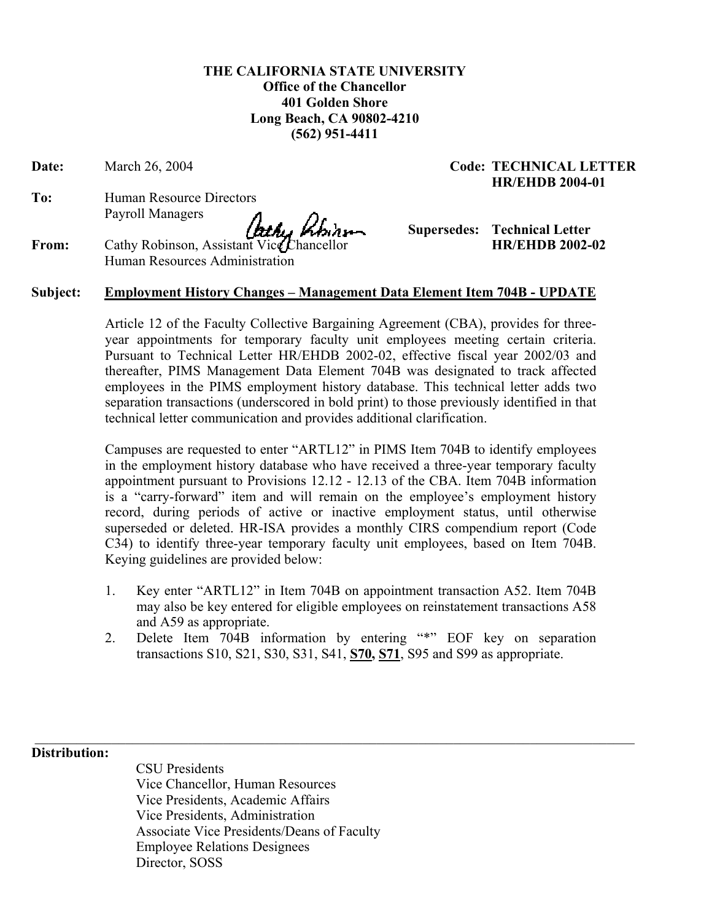**THE CALIFORNIA STATE UNIVERSITY Office of the Chancellor 401 Golden Shore Long Beach, CA 90802-4210 (562) 951-4411** 

**Date:** March 26, 2004 **Code: TECHNICAL LETTER** 

**To:** Human Resource Directors Payroll Managers

 **Supersedes: Technical Letter**

**HR/EHDB 2004-01** 

**From:** Cathy Robinson, Assistant Vice Chancellor **HR/EHDB 2002-02** Human Resources Administration

## **Subject: Employment History Changes – Management Data Element Item 704B - UPDATE**

Article 12 of the Faculty Collective Bargaining Agreement (CBA), provides for threeyear appointments for temporary faculty unit employees meeting certain criteria. Pursuant to Technical Letter HR/EHDB 2002-02, effective fiscal year 2002/03 and thereafter, PIMS Management Data Element 704B was designated to track affected employees in the PIMS employment history database. This technical letter adds two separation transactions (underscored in bold print) to those previously identified in that technical letter communication and provides additional clarification.

Campuses are requested to enter "ARTL12" in PIMS Item 704B to identify employees in the employment history database who have received a three-year temporary faculty appointment pursuant to Provisions 12.12 - 12.13 of the CBA. Item 704B information is a "carry-forward" item and will remain on the employee's employment history record, during periods of active or inactive employment status, until otherwise superseded or deleted. HR-ISA provides a monthly CIRS compendium report (Code C34) to identify three-year temporary faculty unit employees, based on Item 704B. Keying guidelines are provided below:

- 1. Key enter "ARTL12" in Item 704B on appointment transaction A52. Item 704B may also be key entered for eligible employees on reinstatement transactions A58 and A59 as appropriate.
- 2. Delete Item 704B information by entering "\*" EOF key on separation transactions S10, S21, S30, S31, S41, **S70, S71**, S95 and S99 as appropriate.

 $\mathcal{L}_\mathcal{L} = \{ \mathcal{L}_\mathcal{L} = \{ \mathcal{L}_\mathcal{L} = \{ \mathcal{L}_\mathcal{L} = \{ \mathcal{L}_\mathcal{L} = \{ \mathcal{L}_\mathcal{L} = \{ \mathcal{L}_\mathcal{L} = \{ \mathcal{L}_\mathcal{L} = \{ \mathcal{L}_\mathcal{L} = \{ \mathcal{L}_\mathcal{L} = \{ \mathcal{L}_\mathcal{L} = \{ \mathcal{L}_\mathcal{L} = \{ \mathcal{L}_\mathcal{L} = \{ \mathcal{L}_\mathcal{L} = \{ \mathcal{L}_\mathcal{$ 

**Distribution:** 

CSU Presidents Vice Chancellor, Human Resources Vice Presidents, Academic Affairs Vice Presidents, Administration Associate Vice Presidents/Deans of Faculty Employee Relations Designees Director, SOSS